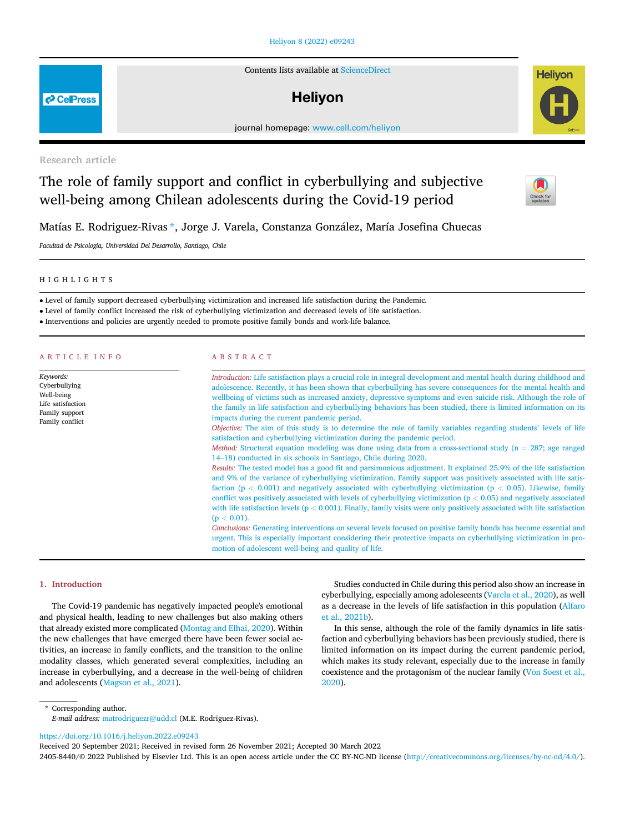# [Heliyon 8 \(2022\) e09243](https://doi.org/10.1016/j.heliyon.2022.e09243)

Contents lists available at [ScienceDirect](www.sciencedirect.com/science/journal/24058440)

# **Helivon**

journal homepage: [www.cell.com/heliyon](http://www.cell.com/heliyon)

Research article

# The role of family support and conflict in cyberbullying and subjective well-being among Chilean adolescents during the Covid-19 period

Matías E. Rodriguez-Rivas [\\*,](#page-0-0) Jorge J. Varela, Constanza Gonzalez, María Josefina Chuecas

Facultad de Psicología, Universidad Del Desarrollo, Santiago, Chile

#### HIGHLIGHTS

Level of family support decreased cyberbullying victimization and increased life satisfaction during the Pandemic.

Level of family conflict increased the risk of cyberbullying victimization and decreased levels of life satisfaction.

Interventions and policies are urgently needed to promote positive family bonds and work-life balance.

| <b>ARTICLE INFO</b>                                                                                | ABSTRACT                                                                                                                                                                                                                                                                                                                                                                                                                                                                                                                    |  |  |  |  |  |
|----------------------------------------------------------------------------------------------------|-----------------------------------------------------------------------------------------------------------------------------------------------------------------------------------------------------------------------------------------------------------------------------------------------------------------------------------------------------------------------------------------------------------------------------------------------------------------------------------------------------------------------------|--|--|--|--|--|
| Keywords:<br>Cyberbullying<br>Well-being<br>Life satisfaction<br>Family support<br>Family conflict | Introduction: Life satisfaction plays a crucial role in integral development and mental health during childhood and<br>adolescence. Recently, it has been shown that cyberbullying has severe consequences for the mental health and<br>wellbeing of victims such as increased anxiety, depressive symptoms and even suicide risk. Although the role of<br>the family in life satisfaction and cyberbullying behaviors has been studied, there is limited information on its<br>impacts during the current pandemic period. |  |  |  |  |  |
|                                                                                                    | Objective: The aim of this study is to determine the role of family variables regarding students' levels of life<br>satisfaction and cyberbullying victimization during the pandemic period.<br><i>Method:</i> Structural equation modeling was done using data from a cross-sectional study ( $n = 287$ ; age ranged<br>14–18) conducted in six schools in Santiago, Chile during 2020.                                                                                                                                    |  |  |  |  |  |
|                                                                                                    | Results: The tested model has a good fit and parsimonious adjustment. It explained 25.9% of the life satisfaction<br>and 9% of the variance of cyberbullying victimization. Family support was positively associated with life satis-<br>faction ( $p < 0.001$ ) and negatively associated with cyberbullying victimization ( $p < 0.05$ ). Likewise, family<br>conflict was positively associated with levels of cyberbullying victimization ( $p < 0.05$ ) and negatively associated                                      |  |  |  |  |  |
|                                                                                                    | with life satisfaction levels ( $p < 0.001$ ). Finally, family visits were only positively associated with life satisfaction<br>$(p < 0.01)$ .<br>Conclusions: Generating interventions on several levels focused on positive family bonds has become essential and<br>urgent. This is especially important considering their protective impacts on cyberbullying victimization in pro-                                                                                                                                     |  |  |  |  |  |

motion of adolescent well-being and quality of life.

# 1. Introduction

The Covid-19 pandemic has negatively impacted people's emotional and physical health, leading to new challenges but also making others that already existed more complicated ([Montag and Elhai, 2020\)](#page-6-0). Within the new challenges that have emerged there have been fewer social activities, an increase in family conflicts, and the transition to the online modality classes, which generated several complexities, including an increase in cyberbullying, and a decrease in the well-being of children and adolescents [\(Magson et al., 2021](#page-6-1)).

Studies conducted in Chile during this period also show an increase in cyberbullying, especially among adolescents [\(Varela et al., 2020](#page-7-0)), as well as a decrease in the levels of life satisfaction in this population [\(Alfaro](#page-6-2) [et al., 2021b\)](#page-6-2).

In this sense, although the role of the family dynamics in life satisfaction and cyberbullying behaviors has been previously studied, there is limited information on its impact during the current pandemic period, which makes its study relevant, especially due to the increase in family coexistence and the protagonism of the nuclear family [\(Von Soest et al.,](#page-7-1) [2020\)](#page-7-1).

<span id="page-0-0"></span>\* Corresponding author. E-mail address: [matrodriguezr@udd.cl](mailto:matrodriguezr@udd.cl) (M.E. Rodriguez-Rivas).

<https://doi.org/10.1016/j.heliyon.2022.e09243>

Received 20 September 2021; Received in revised form 26 November 2021; Accepted 30 March 2022

2405-8440/© 2022 Published by Elsevier Ltd. This is an open access article under the CC BY-NC-ND license (<http://creativecommons.org/licenses/by-nc-nd/4.0/>).





**P** CellPress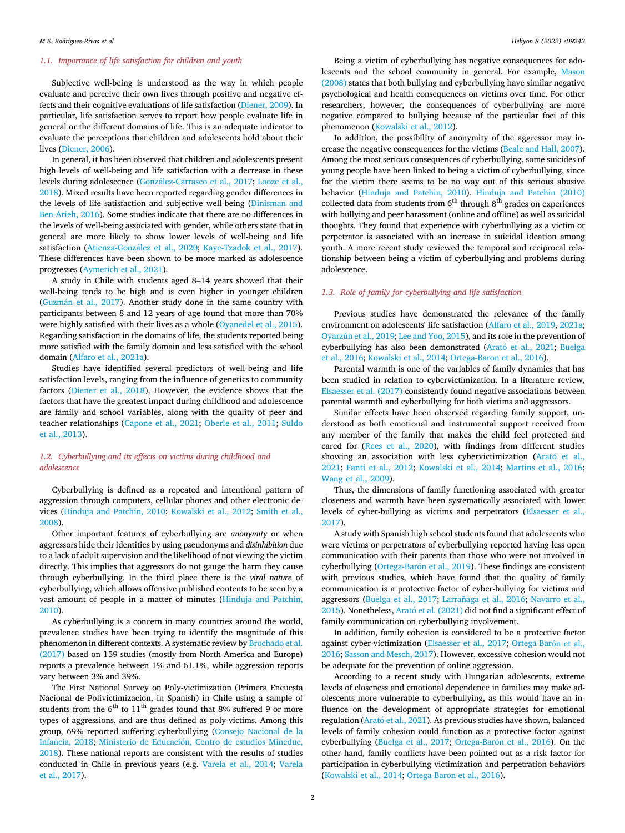# 1.1. Importance of life satisfaction for children and youth

Subjective well-being is understood as the way in which people evaluate and perceive their own lives through positive and negative effects and their cognitive evaluations of life satisfaction ([Diener, 2009\)](#page-6-3). In particular, life satisfaction serves to report how people evaluate life in general or the different domains of life. This is an adequate indicator to evaluate the perceptions that children and adolescents hold about their lives ([Diener, 2006](#page-6-4)).

In general, it has been observed that children and adolescents present high levels of well-being and life satisfaction with a decrease in these levels during adolescence [\(Gonz](#page-6-5)[alez-Carrasco et al., 2017;](#page-6-5) [Looze et al.,](#page-6-6) [2018\)](#page-6-6). Mixed results have been reported regarding gender differences in the levels of life satisfaction and subjective well-being [\(Dinisman and](#page-6-7) [Ben-Arieh, 2016\)](#page-6-7). Some studies indicate that there are no differences in the levels of well-being associated with gender, while others state that in general are more likely to show lower levels of well-being and life satisfaction [\(Atienza-Gonz](#page-6-8)á[lez et al., 2020](#page-6-8); [Kaye-Tzadok et al., 2017\)](#page-6-9). These differences have been shown to be more marked as adolescence progresses [\(Aymerich et al., 2021](#page-6-10)).

A study in Chile with students aged 8–14 years showed that their well-being tends to be high and is even higher in younger children ([Guzm](#page-6-11)á[n et al., 2017](#page-6-11)). Another study done in the same country with participants between 8 and 12 years of age found that more than 70% were highly satisfied with their lives as a whole ([Oyanedel et al., 2015\)](#page-6-12). Regarding satisfaction in the domains of life, the students reported being more satisfied with the family domain and less satisfied with the school domain [\(Alfaro et al., 2021a\)](#page-6-13).

Studies have identified several predictors of well-being and life satisfaction levels, ranging from the influence of genetics to community factors [\(Diener et al., 2018](#page-6-14)). However, the evidence shows that the factors that have the greatest impact during childhood and adolescence are family and school variables, along with the quality of peer and teacher relationships ([Capone et al., 2021;](#page-6-15) [Oberle et al., 2011](#page-6-16); [Suldo](#page-7-2) [et al., 2013](#page-7-2)).

# 1.2. Cyberbullying and its effects on victims during childhood and adolescence

Cyberbullying is defined as a repeated and intentional pattern of aggression through computers, cellular phones and other electronic devices [\(Hinduja and Patchin, 2010;](#page-6-17) [Kowalski et al., 2012](#page-6-18); [Smith et al.,](#page-7-3) [2008\)](#page-7-3).

Other important features of cyberbullying are anonymity or when aggressors hide their identities by using pseudonyms and disinhibition due to a lack of adult supervision and the likelihood of not viewing the victim directly. This implies that aggressors do not gauge the harm they cause through cyberbullying. In the third place there is the viral nature of cyberbullying, which allows offensive published contents to be seen by a vast amount of people in a matter of minutes [\(Hinduja and Patchin,](#page-6-17) [2010\)](#page-6-17).

As cyberbullying is a concern in many countries around the world, prevalence studies have been trying to identify the magnitude of this phenomenon in different contexts. A systematic review by [Brochado et al.](#page-6-19) [\(2017\)](#page-6-19) based on 159 studies (mostly from North America and Europe) reports a prevalence between 1% and 61.1%, while aggression reports vary between 3% and 39%.

The First National Survey on Poly-victimization (Primera Encuesta Nacional de Polivictimizacion, in Spanish) in Chile using a sample of students from the  $6<sup>th</sup>$  to  $11<sup>th</sup>$  grades found that 8% suffered 9 or more types of aggressions, and are thus defined as poly-victims. Among this group, 69% reported suffering cyberbullying [\(Consejo Nacional de la](#page-6-20) [Infancia, 2018;](#page-6-20) Ministerio de Educación, Centro de estudios Mineduc, [2018\)](#page-6-21). These national reports are consistent with the results of studies conducted in Chile in previous years (e.g. [Varela et al., 2014;](#page-7-4) [Varela](#page-7-5) [et al., 2017](#page-7-5)).

Being a victim of cyberbullying has negative consequences for adolescents and the school community in general. For example, [Mason](#page-6-22) [\(2008\)](#page-6-22) states that both bullying and cyberbullying have similar negative psychological and health consequences on victims over time. For other researchers, however, the consequences of cyberbullying are more negative compared to bullying because of the particular foci of this phenomenon [\(Kowalski et al., 2012](#page-6-18)).

In addition, the possibility of anonymity of the aggressor may increase the negative consequences for the victims ([Beale and Hall, 2007\)](#page-6-23). Among the most serious consequences of cyberbullying, some suicides of young people have been linked to being a victim of cyberbullying, since for the victim there seems to be no way out of this serious abusive behavior ([Hinduja and Patchin, 2010\)](#page-6-17). [Hinduja and Patchin \(2010\)](#page-6-17) collected data from students from  $6<sup>th</sup>$  through  $8<sup>th</sup>$  grades on experiences with bullying and peer harassment (online and offline) as well as suicidal thoughts. They found that experience with cyberbullying as a victim or perpetrator is associated with an increase in suicidal ideation among youth. A more recent study reviewed the temporal and reciprocal relationship between being a victim of cyberbullying and problems during adolescence.

# 1.3. Role of family for cyberbullying and life satisfaction

Previous studies have demonstrated the relevance of the family environment on adolescents' life satisfaction ([Alfaro et al., 2019](#page-6-24), [2021a;](#page-6-13) [Oyarzún et al., 2019](#page-6-25); [Lee and Yoo, 2015\)](#page-6-26), and its role in the prevention of cyberbullying has also been demonstrated (Arató et al., 2021; [Buelga](#page-6-28) [et al., 2016](#page-6-28); [Kowalski et al., 2014;](#page-6-29) [Ortega-Baron et al., 2016](#page-6-30)).

Parental warmth is one of the variables of family dynamics that has been studied in relation to cybervictimization. In a literature review, [Elsaesser et al. \(2017\)](#page-6-31) consistently found negative associations between parental warmth and cyberbullying for both victims and aggressors.

Similar effects have been observed regarding family support, understood as both emotional and instrumental support received from any member of the family that makes the child feel protected and cared for ([Rees et al., 2020](#page-7-6)), with findings from different studies showing an association with less cybervictimization [\(Arat](#page-6-27)ó [et al.,](#page-6-27) [2021;](#page-6-27) [Fanti et al., 2012;](#page-6-32) [Kowalski et al., 2014](#page-6-29); [Martins et al., 2016;](#page-6-33) [Wang et al., 2009](#page-7-7)).

Thus, the dimensions of family functioning associated with greater closeness and warmth have been systematically associated with lower levels of cyber-bullying as victims and perpetrators ([Elsaesser et al.,](#page-6-31) [2017\)](#page-6-31).

A study with Spanish high school students found that adolescents who were victims or perpetrators of cyberbullying reported having less open communication with their parents than those who were not involved in cyberbullying (Ortega-Barón et al., 2019). These findings are consistent with previous studies, which have found that the quality of family communication is a protective factor of cyber-bullying for victims and aggressors ([Buelga et al., 2017;](#page-6-35) Larrañaga et al., 2016; [Navarro et al.,](#page-6-37) [2015\)](#page-6-37). Nonetheless, Arató et al. (2021) did not find a significant effect of family communication on cyberbullying involvement.

In addition, family cohesion is considered to be a protective factor against cyber-victimization ([Elsaesser et al., 2017;](#page-6-31) Ortega-Barón et al., [2016;](#page-6-30) [Sasson and Mesch, 2017\)](#page-7-8). However, excessive cohesion would not be adequate for the prevention of online aggression.

According to a recent study with Hungarian adolescents, extreme levels of closeness and emotional dependence in families may make adolescents more vulnerable to cyberbullying, as this would have an influence on the development of appropriate strategies for emotional regulation (Arató et al., 2021). As previous studies have shown, balanced levels of family cohesion could function as a protective factor against cyberbullying ([Buelga et al., 2017;](#page-6-35) Ortega-Barón et al., 2016). On the other hand, family conflicts have been pointed out as a risk factor for participation in cyberbullying victimization and perpetration behaviors ([Kowalski et al., 2014](#page-6-29); [Ortega-Baron et al., 2016\)](#page-6-30).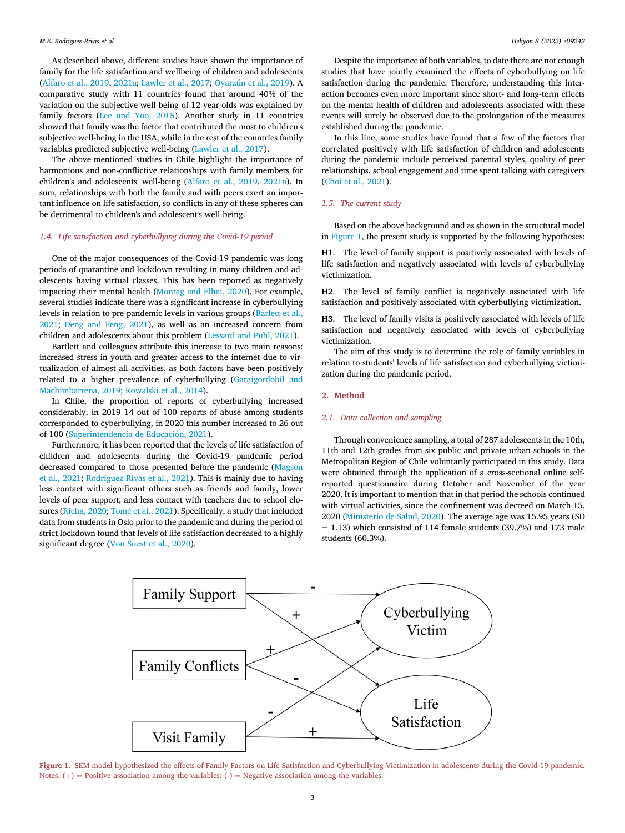As described above, different studies have shown the importance of family for the life satisfaction and wellbeing of children and adolescents ([Alfaro et al., 2019,](#page-6-24) [2021a](#page-6-13); [Lawler et al., 2017](#page-6-38); [Oyarzún et al., 2019\)](#page-6-25). A comparative study with 11 countries found that around 40% of the variation on the subjective well-being of 12-year-olds was explained by family factors ([Lee and Yoo, 2015\)](#page-6-26). Another study in 11 countries showed that family was the factor that contributed the most to children's subjective well-being in the USA, while in the rest of the countries family variables predicted subjective well-being ([Lawler et al., 2017\)](#page-6-38).

The above-mentioned studies in Chile highlight the importance of harmonious and non-conflictive relationships with family members for children's and adolescents' well-being [\(Alfaro et al., 2019](#page-6-24), [2021a](#page-6-13)). In sum, relationships with both the family and with peers exert an important influence on life satisfaction, so conflicts in any of these spheres can be detrimental to children's and adolescent's well-being.

# 1.4. Life satisfaction and cyberbullying during the Covid-19 period

One of the major consequences of the Covid-19 pandemic was long periods of quarantine and lockdown resulting in many children and adolescents having virtual classes. This has been reported as negatively impacting their mental health [\(Montag and Elhai, 2020\)](#page-6-0). For example, several studies indicate there was a significant increase in cyberbullying levels in relation to pre-pandemic levels in various groups ([Barlett et al.,](#page-6-39) [2021;](#page-6-39) [Deng and Feng, 2021](#page-6-40)), as well as an increased concern from children and adolescents about this problem [\(Lessard and Puhl, 2021](#page-6-41)).

Bartlett and colleagues attribute this increase to two main reasons: increased stress in youth and greater access to the internet due to virtualization of almost all activities, as both factors have been positively related to a higher prevalence of cyberbullying ([Garaigordobil and](#page-6-42) [Machimbarrena, 2019](#page-6-42); [Kowalski et al., 2014](#page-6-29)).

In Chile, the proportion of reports of cyberbullying increased considerably, in 2019 14 out of 100 reports of abuse among students corresponded to cyberbullying, in 2020 this number increased to 26 out of 100 (Superintendencia de Educación, 2021).

Furthermore, it has been reported that the levels of life satisfaction of children and adolescents during the Covid-19 pandemic period decreased compared to those presented before the pandemic ([Magson](#page-6-1) [et al., 2021](#page-6-1); [Rodríguez-Rivas et al., 2021](#page-7-10)). This is mainly due to having less contact with significant others such as friends and family, lower levels of peer support, and less contact with teachers due to school clo-sures [\(Richa, 2020;](#page-7-11) [Tom](#page-7-12)é et al., 2021). Specifically, a study that included data from students in Oslo prior to the pandemic and during the period of strict lockdown found that levels of life satisfaction decreased to a highly significant degree ([Von Soest et al., 2020\)](#page-7-1).

Despite the importance of both variables, to date there are not enough studies that have jointly examined the effects of cyberbullying on life satisfaction during the pandemic. Therefore, understanding this interaction becomes even more important since short- and long-term effects on the mental health of children and adolescents associated with these events will surely be observed due to the prolongation of the measures established during the pandemic.

In this line, some studies have found that a few of the factors that correlated positively with life satisfaction of children and adolescents during the pandemic include perceived parental styles, quality of peer relationships, school engagement and time spent talking with caregivers ([Choi et al., 2021\)](#page-6-43).

#### 1.5. The current study

Based on the above background and as shown in the structural model in [Figure 1,](#page-2-0) the present study is supported by the following hypotheses:

H1. The level of family support is positively associated with levels of life satisfaction and negatively associated with levels of cyberbullying victimization.

H2. The level of family conflict is negatively associated with life satisfaction and positively associated with cyberbullying victimization.

H3. The level of family visits is positively associated with levels of life satisfaction and negatively associated with levels of cyberbullying victimization.

The aim of this study is to determine the role of family variables in relation to students' levels of life satisfaction and cyberbullying victimization during the pandemic period.

#### 2. Method

## 2.1. Data collection and sampling

Through convenience sampling, a total of 287 adolescents in the 10th, 11th and 12th grades from six public and private urban schools in the Metropolitan Region of Chile voluntarily participated in this study. Data were obtained through the application of a cross-sectional online selfreported questionnaire during October and November of the year 2020. It is important to mention that in that period the schools continued with virtual activities, since the confinement was decreed on March 15, 2020 ([Ministerio de Salud, 2020](#page-6-44)). The average age was 15.95 years (SD  $=$  1.13) which consisted of 114 female students (39.7%) and 173 male students (60.3%).

<span id="page-2-0"></span>

Figure 1. SEM model hypothesized the effects of Family Factors on Life Satisfaction and Cyberbullying Victimization in adolescents during the Covid-19 pandemic. Notes:  $(+)$  = Positive association among the variables;  $(.)$  = Negative association among the variables.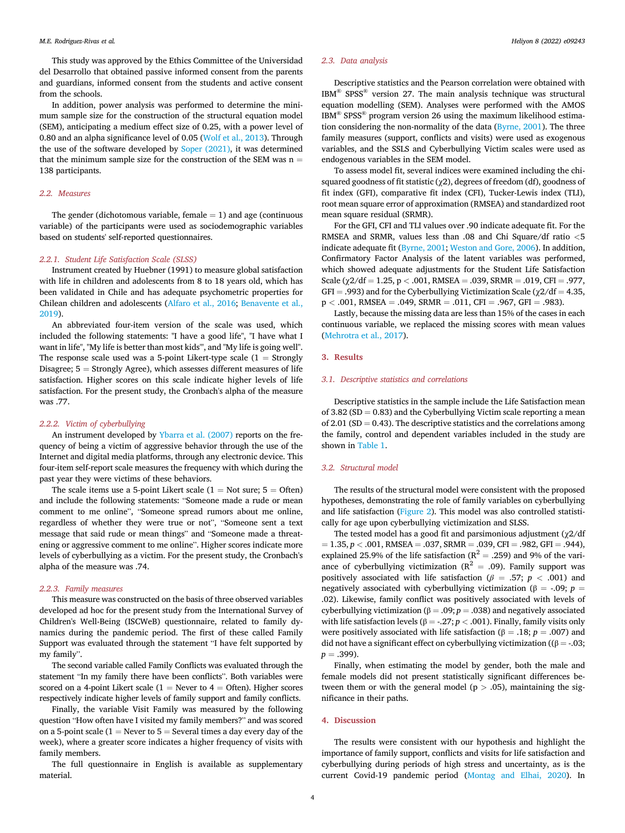This study was approved by the Ethics Committee of the Universidad del Desarrollo that obtained passive informed consent from the parents and guardians, informed consent from the students and active consent from the schools.

In addition, power analysis was performed to determine the minimum sample size for the construction of the structural equation model (SEM), anticipating a medium effect size of 0.25, with a power level of 0.80 and an alpha significance level of 0.05 ([Wolf et al., 2013\)](#page-7-13). Through the use of the software developed by [Soper \(2021\)](#page-7-14), it was determined that the minimum sample size for the construction of the SEM was  $n =$ 138 participants.

# 2.2. Measures

The gender (dichotomous variable, female  $= 1$ ) and age (continuous variable) of the participants were used as sociodemographic variables based on students' self-reported questionnaires.

# 2.2.1. Student Life Satisfaction Scale (SLSS)

Instrument created by Huebner (1991) to measure global satisfaction with life in children and adolescents from 8 to 18 years old, which has been validated in Chile and has adequate psychometric properties for Chilean children and adolescents ([Alfaro et al., 2016;](#page-6-45) [Benavente et al.,](#page-6-46) [2019\)](#page-6-46).

An abbreviated four-item version of the scale was used, which included the following statements: "I have a good life", "I have what I want in life", "My life is better than most kids'", and "My life is going well". The response scale used was a 5-point Likert-type scale  $(1 -$  Strongly Disagree;  $5 =$  Strongly Agree), which assesses different measures of life satisfaction. Higher scores on this scale indicate higher levels of life satisfaction. For the present study, the Cronbach's alpha of the measure was .77.

#### 2.2.2. Victim of cyberbullying

An instrument developed by [Ybarra et al. \(2007\)](#page-7-15) reports on the frequency of being a victim of aggressive behavior through the use of the Internet and digital media platforms, through any electronic device. This four-item self-report scale measures the frequency with which during the past year they were victims of these behaviors.

The scale items use a 5-point Likert scale  $(1 = Not sure; 5 = Often)$ and include the following statements: "Someone made a rude or mean comment to me online", "Someone spread rumors about me online, regardless of whether they were true or not", "Someone sent a text message that said rude or mean things" and "Someone made a threatening or aggressive comment to me online". Higher scores indicate more levels of cyberbullying as a victim. For the present study, the Cronbach's alpha of the measure was .74.

# 2.2.3. Family measures

This measure was constructed on the basis of three observed variables developed ad hoc for the present study from the International Survey of Children's Well-Being (ISCWeB) questionnaire, related to family dynamics during the pandemic period. The first of these called Family Support was evaluated through the statement "I have felt supported by my family".

The second variable called Family Conflicts was evaluated through the statement "In my family there have been conflicts". Both variables were scored on a 4-point Likert scale (1 = Never to 4 = Often). Higher scores respectively indicate higher levels of family support and family conflicts.

Finally, the variable Visit Family was measured by the following question "How often have I visited my family members?" and was scored on a 5-point scale ( $1 =$  Never to  $5 =$  Several times a day every day of the week), where a greater score indicates a higher frequency of visits with family members.

The full questionnaire in English is available as supplementary material.

# 2.3. Data analysis

Descriptive statistics and the Pearson correlation were obtained with IBM® SPSS® version 27. The main analysis technique was structural equation modelling (SEM). Analyses were performed with the AMOS IBM® SPSS® program version 26 using the maximum likelihood estimation considering the non-normality of the data ([Byrne, 2001\)](#page-6-47). The three family measures (support, conflicts and visits) were used as exogenous variables, and the SSLS and Cyberbullying Victim scales were used as endogenous variables in the SEM model.

To assess model fit, several indices were examined including the chisquared goodness of fit statistic  $(\chi_2)$ , degrees of freedom (df), goodness of fit index (GFI), comparative fit index (CFI), Tucker-Lewis index (TLI), root mean square error of approximation (RMSEA) and standardized root mean square residual (SRMR).

For the GFI, CFI and TLI values over .90 indicate adequate fit. For the RMSEA and SRMR, values less than .08 and Chi Square/df ratio <5 indicate adequate fit ([Byrne, 2001;](#page-6-47) [Weston and Gore, 2006](#page-7-16)). In addition, Confirmatory Factor Analysis of the latent variables was performed, which showed adequate adjustments for the Student Life Satisfaction Scale ( $\gamma$ 2/df = 1.25, p < .001, RMSEA = .039, SRMR = .019, CFI = .977,  $GFI = .993$ ) and for the Cyberbullying Victimization Scale ( $\gamma 2/df = 4.35$ ,  $p < .001$ , RMSEA = .049, SRMR = .011, CFI = .967, GFI = .983).

Lastly, because the missing data are less than 15% of the cases in each continuous variable, we replaced the missing scores with mean values ([Mehrotra et al., 2017](#page-6-48)).

#### 3. Results

#### 3.1. Descriptive statistics and correlations

Descriptive statistics in the sample include the Life Satisfaction mean of 3.82 (SD  $= 0.83$ ) and the Cyberbullying Victim scale reporting a mean of 2.01 (SD  $=$  0.43). The descriptive statistics and the correlations among the family, control and dependent variables included in the study are shown in [Table 1](#page-4-0).

#### 3.2. Structural model

The results of the structural model were consistent with the proposed hypotheses, demonstrating the role of family variables on cyberbullying and life satisfaction [\(Figure 2](#page-4-1)). This model was also controlled statistically for age upon cyberbullying victimization and SLSS.

The tested model has a good fit and parsimonious adjustment ( $\chi$ 2/df  $= 1.35, p < .001, RMSEA = .037, SRMR = .039, CFI = .982, GFI = .944),$ explained 25.9% of the life satisfaction ( $R^2 = .259$ ) and 9% of the variance of cyberbullying victimization ( $R^2 = .09$ ). Family support was positively associated with life satisfaction ( $\beta = .57$ ; p < .001) and negatively associated with cyberbullying victimization ( $\beta$  = -.09; p = .02). Likewise, family conflict was positively associated with levels of cyberbullying victimization ( $\beta = .09$ ;  $p = .038$ ) and negatively associated with life satisfaction levels (β = -.27;  $p$  < .001). Finally, family visits only were positively associated with life satisfaction ( $\beta = .18; p = .007$ ) and did not have a significant effect on cyberbullying victimization (( $\beta$  = -.03;  $p = .399$ ).

Finally, when estimating the model by gender, both the male and female models did not present statistically significant differences between them or with the general model ( $p > .05$ ), maintaining the significance in their paths.

# 4. Discussion

The results were consistent with our hypothesis and highlight the importance of family support, conflicts and visits for life satisfaction and cyberbullying during periods of high stress and uncertainty, as is the current Covid-19 pandemic period ([Montag and Elhai, 2020\)](#page-6-0). In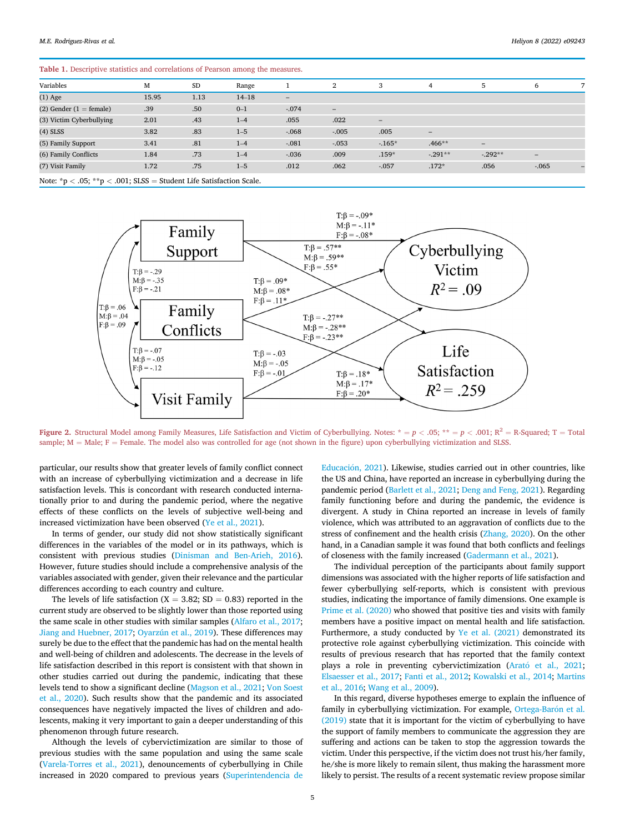#### <span id="page-4-0"></span>Table 1. Descriptive statistics and correlations of Pearson among the measures.

| Variables                   | M     | SD   | Range     |                          | 2                 | 3                        | 4                        | .5                       | 6        |  |
|-----------------------------|-------|------|-----------|--------------------------|-------------------|--------------------------|--------------------------|--------------------------|----------|--|
| $(1)$ Age                   | 15.95 | 1.13 | $14 - 18$ | $\overline{\phantom{0}}$ |                   |                          |                          |                          |          |  |
| $(2)$ Gender $(1 =$ female) | .39   | .50  | $0 - 1$   | $-.074$                  | $\qquad \qquad -$ |                          |                          |                          |          |  |
| (3) Victim Cyberbullying    | 2.01  | .43  | $1 - 4$   | .055                     | .022              | $\overline{\phantom{a}}$ |                          |                          |          |  |
| $(4)$ SLSS                  | 3.82  | .83  | $1 - 5$   | $-.068$                  | $-.005$           | .005                     | $\overline{\phantom{0}}$ |                          |          |  |
| (5) Family Support          | 3.41  | .81  | $1 - 4$   | $-.081$                  | $-.053$           | $-165*$                  | $.466**$                 | $\overline{\phantom{a}}$ |          |  |
| (6) Family Conflicts        | 1.84  | .73  | $1 - 4$   | $-.036$                  | .009              | $.159*$                  | $-.291**$                | $-0.292**$               | -        |  |
| (7) Visit Family            | 1.72  | .75  | $1 - 5$   | .012                     | .062              | $-.057$                  | $.172*$                  | .056                     | $-0.065$ |  |

<span id="page-4-1"></span>Note:  $np < .05$ ;  $*p < .001$ ; SLSS = Student Life Satisfaction Scale.



Figure 2. Structural Model among Family Measures, Life Satisfaction and Victim of Cyberbullying. Notes:  $* = p < .05; ** = p < .001;$  R<sup>2</sup> = R-Squared; T = Total sample;  $M =$  Male;  $F =$  Female. The model also was controlled for age (not shown in the figure) upon cyberbullying victimization and SLSS.

particular, our results show that greater levels of family conflict connect with an increase of cyberbullying victimization and a decrease in life satisfaction levels. This is concordant with research conducted internationally prior to and during the pandemic period, where the negative effects of these conflicts on the levels of subjective well-being and increased victimization have been observed ([Ye et al., 2021\)](#page-7-17).

In terms of gender, our study did not show statistically significant differences in the variables of the model or in its pathways, which is consistent with previous studies ([Dinisman and Ben-Arieh, 2016\)](#page-6-7). However, future studies should include a comprehensive analysis of the variables associated with gender, given their relevance and the particular differences according to each country and culture.

The levels of life satisfaction ( $X = 3.82$ ; SD = 0.83) reported in the current study are observed to be slightly lower than those reported using the same scale in other studies with similar samples [\(Alfaro et al., 2017;](#page-6-49) [Jiang and Huebner, 2017;](#page-6-50) [Oyarzún et al., 2019](#page-6-25)). These differences may surely be due to the effect that the pandemic has had on the mental health and well-being of children and adolescents. The decrease in the levels of life satisfaction described in this report is consistent with that shown in other studies carried out during the pandemic, indicating that these levels tend to show a significant decline ([Magson et al., 2021](#page-6-1); [Von Soest](#page-7-1) [et al., 2020](#page-7-1)). Such results show that the pandemic and its associated consequences have negatively impacted the lives of children and adolescents, making it very important to gain a deeper understanding of this phenomenon through future research.

Although the levels of cybervictimization are similar to those of previous studies with the same population and using the same scale ([Varela-Torres et al., 2021\)](#page-7-18), denouncements of cyberbullying in Chile increased in 2020 compared to previous years ([Superintendencia de](#page-7-9)

Educación, 2021). Likewise, studies carried out in other countries, like the US and China, have reported an increase in cyberbullying during the pandemic period ([Barlett et al., 2021;](#page-6-39) [Deng and Feng, 2021\)](#page-6-40). Regarding family functioning before and during the pandemic, the evidence is divergent. A study in China reported an increase in levels of family violence, which was attributed to an aggravation of conflicts due to the stress of confinement and the health crisis ([Zhang, 2020](#page-7-19)). On the other hand, in a Canadian sample it was found that both conflicts and feelings of closeness with the family increased ([Gadermann et al., 2021](#page-6-51)).

The individual perception of the participants about family support dimensions was associated with the higher reports of life satisfaction and fewer cyberbullying self-reports, which is consistent with previous studies, indicating the importance of family dimensions. One example is [Prime et al. \(2020\)](#page-6-52) who showed that positive ties and visits with family members have a positive impact on mental health and life satisfaction. Furthermore, a study conducted by [Ye et al. \(2021\)](#page-7-17) demonstrated its protective role against cyberbullying victimization. This coincide with results of previous research that has reported that the family context plays a role in preventing cybervictimization (Arató et al., 2021; [Elsaesser et al., 2017;](#page-6-31) [Fanti et al., 2012;](#page-6-32) [Kowalski et al., 2014](#page-6-29); [Martins](#page-6-33) [et al., 2016](#page-6-33); [Wang et al., 2009](#page-7-7)).

In this regard, diverse hypotheses emerge to explain the influence of family in cyberbullying victimization. For example, [Ortega-Bar](#page-6-34)ó[n et al.](#page-6-34) [\(2019\)](#page-6-34) state that it is important for the victim of cyberbullying to have the support of family members to communicate the aggression they are suffering and actions can be taken to stop the aggression towards the victim. Under this perspective, if the victim does not trust his/her family, he/she is more likely to remain silent, thus making the harassment more likely to persist. The results of a recent systematic review propose similar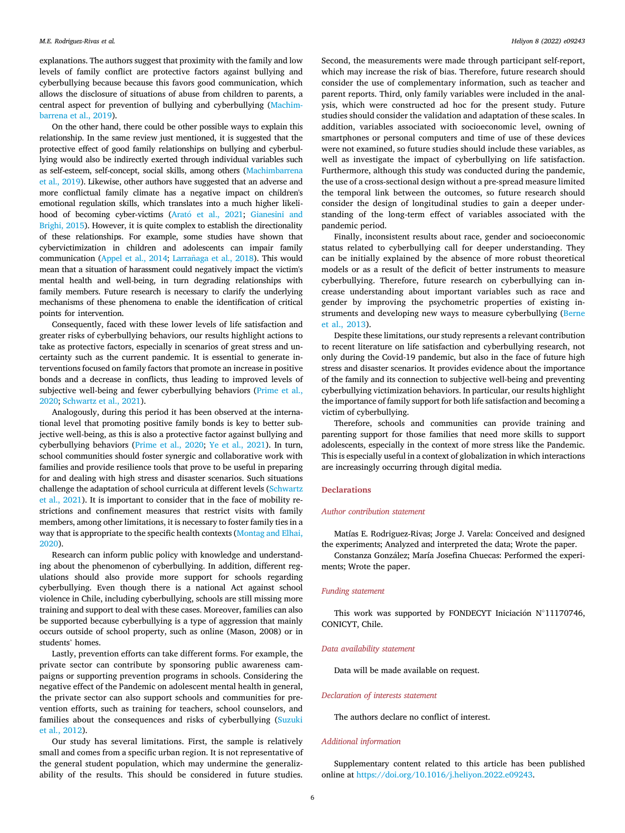explanations. The authors suggest that proximity with the family and low levels of family conflict are protective factors against bullying and cyberbullying because because this favors good communication, which allows the disclosure of situations of abuse from children to parents, a central aspect for prevention of bullying and cyberbullying ([Machim](#page-6-53)[barrena et al., 2019\)](#page-6-53).

On the other hand, there could be other possible ways to explain this relationship. In the same review just mentioned, it is suggested that the protective effect of good family relationships on bullying and cyberbullying would also be indirectly exerted through individual variables such as self-esteem, self-concept, social skills, among others ([Machimbarrena](#page-6-53) [et al., 2019\)](#page-6-53). Likewise, other authors have suggested that an adverse and more conflictual family climate has a negative impact on children's emotional regulation skills, which translates into a much higher likeli-hood of becoming cyber-victims (Arató et al., 2021; [Gianesini and](#page-6-54) [Brighi, 2015](#page-6-54)). However, it is quite complex to establish the directionality of these relationships. For example, some studies have shown that cybervictimization in children and adolescents can impair family communication [\(Appel et al., 2014](#page-6-55); [Larra](#page-6-56)ñ[aga et al., 2018](#page-6-56)). This would mean that a situation of harassment could negatively impact the victim's mental health and well-being, in turn degrading relationships with family members. Future research is necessary to clarify the underlying mechanisms of these phenomena to enable the identification of critical points for intervention.

Consequently, faced with these lower levels of life satisfaction and greater risks of cyberbullying behaviors, our results highlight actions to take as protective factors, especially in scenarios of great stress and uncertainty such as the current pandemic. It is essential to generate interventions focused on family factors that promote an increase in positive bonds and a decrease in conflicts, thus leading to improved levels of subjective well-being and fewer cyberbullying behaviors ([Prime et al.,](#page-6-52) [2020;](#page-6-52) [Schwartz et al., 2021](#page-7-20)).

Analogously, during this period it has been observed at the international level that promoting positive family bonds is key to better subjective well-being, as this is also a protective factor against bullying and cyberbullying behaviors ([Prime et al., 2020](#page-6-52); [Ye et al., 2021](#page-7-17)). In turn, school communities should foster synergic and collaborative work with families and provide resilience tools that prove to be useful in preparing for and dealing with high stress and disaster scenarios. Such situations challenge the adaptation of school curricula at different levels ([Schwartz](#page-7-20) [et al., 2021](#page-7-20)). It is important to consider that in the face of mobility restrictions and confinement measures that restrict visits with family members, among other limitations, it is necessary to foster family ties in a way that is appropriate to the specific health contexts ([Montag and Elhai,](#page-6-0) [2020\)](#page-6-0).

Research can inform public policy with knowledge and understanding about the phenomenon of cyberbullying. In addition, different regulations should also provide more support for schools regarding cyberbullying. Even though there is a national Act against school violence in Chile, including cyberbullying, schools are still missing more training and support to deal with these cases. Moreover, families can also be supported because cyberbullying is a type of aggression that mainly occurs outside of school property, such as online (Mason, 2008) or in students' homes.

Lastly, prevention efforts can take different forms. For example, the private sector can contribute by sponsoring public awareness campaigns or supporting prevention programs in schools. Considering the negative effect of the Pandemic on adolescent mental health in general, the private sector can also support schools and communities for prevention efforts, such as training for teachers, school counselors, and families about the consequences and risks of cyberbullying ([Suzuki](#page-7-21) [et al., 2012](#page-7-21)).

Our study has several limitations. First, the sample is relatively small and comes from a specific urban region. It is not representative of the general student population, which may undermine the generalizability of the results. This should be considered in future studies.

Second, the measurements were made through participant self-report, which may increase the risk of bias. Therefore, future research should consider the use of complementary information, such as teacher and parent reports. Third, only family variables were included in the analysis, which were constructed ad hoc for the present study. Future studies should consider the validation and adaptation of these scales. In addition, variables associated with socioeconomic level, owning of smartphones or personal computers and time of use of these devices were not examined, so future studies should include these variables, as well as investigate the impact of cyberbullying on life satisfaction. Furthermore, although this study was conducted during the pandemic, the use of a cross-sectional design without a pre-spread measure limited the temporal link between the outcomes, so future research should consider the design of longitudinal studies to gain a deeper understanding of the long-term effect of variables associated with the pandemic period.

Finally, inconsistent results about race, gender and socioeconomic status related to cyberbullying call for deeper understanding. They can be initially explained by the absence of more robust theoretical models or as a result of the deficit of better instruments to measure cyberbullying. Therefore, future research on cyberbullying can increase understanding about important variables such as race and gender by improving the psychometric properties of existing instruments and developing new ways to measure cyberbullying [\(Berne](#page-6-57) [et al., 2013\)](#page-6-57).

Despite these limitations, our study represents a relevant contribution to recent literature on life satisfaction and cyberbullying research, not only during the Covid-19 pandemic, but also in the face of future high stress and disaster scenarios. It provides evidence about the importance of the family and its connection to subjective well-being and preventing cyberbullying victimization behaviors. In particular, our results highlight the importance of family support for both life satisfaction and becoming a victim of cyberbullying.

Therefore, schools and communities can provide training and parenting support for those families that need more skills to support adolescents, especially in the context of more stress like the Pandemic. This is especially useful in a context of globalization in which interactions are increasingly occurring through digital media.

#### **Declarations**

#### Author contribution statement

Matías E. Rodriguez-Rivas; Jorge J. Varela: Conceived and designed the experiments; Analyzed and interpreted the data; Wrote the paper.

Constanza Gonzalez; María Josefina Chuecas: Performed the experiments; Wrote the paper.

# Funding statement

This work was supported by FONDECYT Iniciación  $N^{\circ}11170746$ , CONICYT, Chile.

#### Data availability statement

Data will be made available on request.

# Declaration of interests statement

The authors declare no conflict of interest.

# Additional information

Supplementary content related to this article has been published online at [https://doi.org/10.1016/j.heliyon.2022.e09243.](https://doi.org/10.1016/j.heliyon.2022.e09243)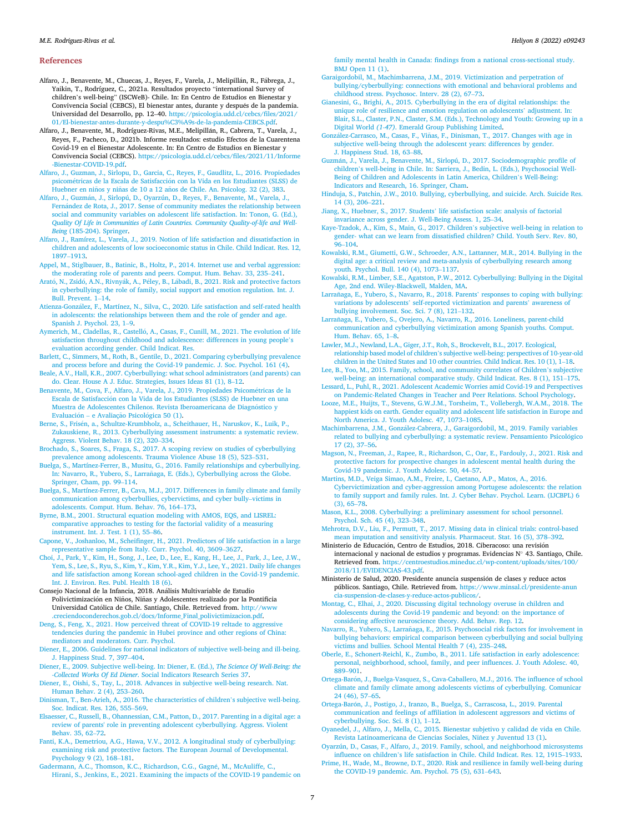#### References

<span id="page-6-13"></span>Alfaro, J., Benavente, M., Chuecas, J., Reyes, F., Varela, J., Melipillán, R., Fábrega, J., Yaikin, T., Rodríguez, C., 2021a. Resultados proyecto "international Survey of children's well-being" (ISCWeB)- Chile. In: En Centro de Estudios en Bienestar y Convivencia Social (CEBCS), El bienestar antes, durante y después de la pandemia. Universidad del Desarrollo, pp. 12–40. [https://psicologia.udd.cl/cebcs/](https://psicologia.udd.cl/cebcs/files/2021/01/El-bienestar-antes-durante-y-despu%C3%A9s-de-la-pandemia-CEBCS.pdf)files/2021/ [01/El-bienestar-antes-durante-y-despu%C3%A9s-de-la-pandemia-CEBCS.pdf.](https://psicologia.udd.cl/cebcs/files/2021/01/El-bienestar-antes-durante-y-despu%C3%A9s-de-la-pandemia-CEBCS.pdf)

<span id="page-6-2"></span>Alfaro, J., Benavente, M., Rodríguez-Rivas, M.E., Melipillán, R., Cabrera, T., Varela, J., Reyes, F., Pacheco, D., 2021b. Informe resultados: estudio Efectos de la Cuarentena Covid-19 en el Bienestar Adolescente. In: En Centro de Estudios en Bienestar y Convivencia Social (CEBCS). [https://psicologia.udd.cl/cebcs/](https://psicologia.udd.cl/cebcs/files/2021/11/Informe-Bienestar-COVID-19.pdf)files/2021/11/Informe [-Bienestar-COVID-19.pdf.](https://psicologia.udd.cl/cebcs/files/2021/11/Informe-Bienestar-COVID-19.pdf)

<span id="page-6-45"></span>[Alfaro, J., Guzman, J., Sirlopu, D., Garcia, C., Reyes, F., Gaudlitz, L., 2016. Propiedades](http://refhub.elsevier.com/S2405-8440(22)00531-X/sref3) [psicom](http://refhub.elsevier.com/S2405-8440(22)00531-X/sref3)[etricas de la Escala de Satisfacci](http://refhub.elsevier.com/S2405-8440(22)00531-X/sref3)o[n con la Vida en los Estudiantes \(SLSS\) de](http://refhub.elsevier.com/S2405-8440(22)00531-X/sref3) [Huebner en ni](http://refhub.elsevier.com/S2405-8440(22)00531-X/sref3)ñ[os y ni](http://refhub.elsevier.com/S2405-8440(22)00531-X/sref3)ñas de 10 a 12 añ[os de Chile. An. Psicolog. 32 \(2\), 383](http://refhub.elsevier.com/S2405-8440(22)00531-X/sref3).

<span id="page-6-49"></span>[Alfaro, J., Guzm](http://refhub.elsevier.com/S2405-8440(22)00531-X/sref4)a[n, J., Sirlopú, D., Oyarzún, D., Reyes, F., Benavente, M., Varela, J.,](http://refhub.elsevier.com/S2405-8440(22)00531-X/sref4) [Fern](http://refhub.elsevier.com/S2405-8440(22)00531-X/sref4)ández de Rota, J., 2017. Sense of community mediates the relationship between [social and community variables on adolescent life satisfaction. In: Tonon, G. \(Ed.\),](http://refhub.elsevier.com/S2405-8440(22)00531-X/sref4) [Quality Of Life in Communities of Latin Countries. Community Quality-of-life and Well-](http://refhub.elsevier.com/S2405-8440(22)00531-X/sref4)Being [\(185-204\). Springer.](http://refhub.elsevier.com/S2405-8440(22)00531-X/sref4)

<span id="page-6-24"></span>[Alfaro, J., Ramírez, L., Varela, J., 2019. Notion of life satisfaction and dissatisfaction in](http://refhub.elsevier.com/S2405-8440(22)00531-X/sref5) [children and adolescents of low socioeconomic status in Chile. Child Indicat. Res. 12,](http://refhub.elsevier.com/S2405-8440(22)00531-X/sref5) [1897](http://refhub.elsevier.com/S2405-8440(22)00531-X/sref5)–[1913](http://refhub.elsevier.com/S2405-8440(22)00531-X/sref5).

<span id="page-6-55"></span>[Appel, M., Stiglbauer, B., Batinic, B., Holtz, P., 2014. Internet use and verbal aggression:](http://refhub.elsevier.com/S2405-8440(22)00531-X/sref7) [the moderating role of parents and peers. Comput. Hum. Behav. 33, 235](http://refhub.elsevier.com/S2405-8440(22)00531-X/sref7)–[241.](http://refhub.elsevier.com/S2405-8440(22)00531-X/sref7)

<span id="page-6-27"></span>Arató, N., Zsidó, A.N., Rivnyá[k, A., P](http://refhub.elsevier.com/S2405-8440(22)00531-X/sref8)é[ley, B., L](http://refhub.elsevier.com/S2405-8440(22)00531-X/sref8)ábadi, B., 2021. Risk and protective factors [in cyberbullying: the role of family, social support and emotion regulation. Int. J.](http://refhub.elsevier.com/S2405-8440(22)00531-X/sref8) [Bull. Prevent. 1](http://refhub.elsevier.com/S2405-8440(22)00531-X/sref8)–[14.](http://refhub.elsevier.com/S2405-8440(22)00531-X/sref8)

<span id="page-6-8"></span>[Atienza-Gonz](http://refhub.elsevier.com/S2405-8440(22)00531-X/sref9)[alez, F., Martínez, N., Silva, C., 2020. Life satisfaction and self-rated health](http://refhub.elsevier.com/S2405-8440(22)00531-X/sref9) [in adolescents: the relationships between them and the role of gender and age.](http://refhub.elsevier.com/S2405-8440(22)00531-X/sref9) [Spanish J. Psychol. 23, 1](http://refhub.elsevier.com/S2405-8440(22)00531-X/sref9)–[9.](http://refhub.elsevier.com/S2405-8440(22)00531-X/sref9)

<span id="page-6-10"></span>Aymerich, M., Cladellas, R., Castelló, A., Casas, F., Cunill, M., 2021. The evolution of life [satisfaction throughout childhood and adolescence: differences in young people](http://refhub.elsevier.com/S2405-8440(22)00531-X/sref10)'<sup>s</sup> [evaluation according gender. Child Indicat. Res.](http://refhub.elsevier.com/S2405-8440(22)00531-X/sref10)

<span id="page-6-39"></span>[Barlett, C., Simmers, M., Roth, B., Gentile, D., 2021. Comparing cyberbullying prevalence](http://refhub.elsevier.com/S2405-8440(22)00531-X/sref11) [and process before and during the Covid-19 pandemic. J. Soc. Psychol. 161 \(4\)](http://refhub.elsevier.com/S2405-8440(22)00531-X/sref11).

<span id="page-6-23"></span>[Beale, A.V., Hall, K.R., 2007. Cyberbullying: what school administrators \(and parents\) can](http://refhub.elsevier.com/S2405-8440(22)00531-X/sref12) [do. Clear. House A J. Educ. Strategies, Issues Ideas 81 \(1\), 8](http://refhub.elsevier.com/S2405-8440(22)00531-X/sref12)–[12](http://refhub.elsevier.com/S2405-8440(22)00531-X/sref12).

<span id="page-6-46"></span>[Benavente, M., Cova, F., Alfaro, J., Varela, J., 2019. Propiedades Psicom](http://refhub.elsevier.com/S2405-8440(22)00531-X/sref13)[etricas de la](http://refhub.elsevier.com/S2405-8440(22)00531-X/sref13) [Escala de Satisfaccion con la Vida de los Estudiantes \(SLSS\) de Huebner en una](http://refhub.elsevier.com/S2405-8440(22)00531-X/sref13) Muestra de Adolescentes Chilenos. Revista Iberoamericana de Diagnóstico y [Evaluaci](http://refhub.elsevier.com/S2405-8440(22)00531-X/sref13)ó[n](http://refhub.elsevier.com/S2405-8440(22)00531-X/sref13) – [e Avaliaç](http://refhub.elsevier.com/S2405-8440(22)00531-X/sref13)ão Psicológica 50 (1).

<span id="page-6-57"></span>[Berne, S., Fris](http://refhub.elsevier.com/S2405-8440(22)00531-X/sref14)e[n, a., Schultze-Krumbholz, a., Scheithauer, H., Naruskov, K., Luik, P.,](http://refhub.elsevier.com/S2405-8440(22)00531-X/sref14) [Zukauskiene, R., 2013. Cyberbullying assessment instruments: a systematic review.](http://refhub.elsevier.com/S2405-8440(22)00531-X/sref14) [Aggress. Violent Behav. 18 \(2\), 320](http://refhub.elsevier.com/S2405-8440(22)00531-X/sref14)–[334.](http://refhub.elsevier.com/S2405-8440(22)00531-X/sref14)

<span id="page-6-19"></span>[Brochado, S., Soares, S., Fraga, S., 2017. A scoping review on studies of cyberbullying](http://refhub.elsevier.com/S2405-8440(22)00531-X/sref15) [prevalence among adolescents. Trauma Violence Abuse 18 \(5\), 523](http://refhub.elsevier.com/S2405-8440(22)00531-X/sref15)–[531](http://refhub.elsevier.com/S2405-8440(22)00531-X/sref15).

<span id="page-6-28"></span>[Buelga, S., Martínez-Ferrer, B., Musitu, G., 2016. Family relationships and cyberbullying.](http://refhub.elsevier.com/S2405-8440(22)00531-X/sref16) [In: Navarro, R., Yubero, S., Larranaga, E. \(Eds.\), Cyberbullying across the Globe.](http://refhub.elsevier.com/S2405-8440(22)00531-X/sref16) ~ [Springer, Cham, pp. 99](http://refhub.elsevier.com/S2405-8440(22)00531-X/sref16)–[114](http://refhub.elsevier.com/S2405-8440(22)00531-X/sref16).

<span id="page-6-35"></span>[Buelga, S., Martínez-Ferrer, B., Cava, M.J., 2017. Differences in family climate and family](http://refhub.elsevier.com/S2405-8440(22)00531-X/sref17) [communication among cyberbullies, cybervictims, and cyber bully](http://refhub.elsevier.com/S2405-8440(22)00531-X/sref17)–[victims in](http://refhub.elsevier.com/S2405-8440(22)00531-X/sref17) [adolescents. Comput. Hum. Behav. 76, 164](http://refhub.elsevier.com/S2405-8440(22)00531-X/sref17)–[173.](http://refhub.elsevier.com/S2405-8440(22)00531-X/sref17)

<span id="page-6-47"></span>[Byrne, B.M., 2001. Structural equation modeling with AMOS, EQS, and LISREL:](http://refhub.elsevier.com/S2405-8440(22)00531-X/sref18) [comparative approaches to testing for the factorial validity of a measuring](http://refhub.elsevier.com/S2405-8440(22)00531-X/sref18) [instrument. Int. J. Test. 1 \(1\), 55](http://refhub.elsevier.com/S2405-8440(22)00531-X/sref18)–[86](http://refhub.elsevier.com/S2405-8440(22)00531-X/sref18).

<span id="page-6-15"></span>Capone, V., Joshanloo, M., Scheifi[nger, H., 2021. Predictors of life satisfaction in a large](http://refhub.elsevier.com/S2405-8440(22)00531-X/sref19) [representative sample from Italy. Curr. Psychol. 40, 3609](http://refhub.elsevier.com/S2405-8440(22)00531-X/sref19)–[3627.](http://refhub.elsevier.com/S2405-8440(22)00531-X/sref19)

<span id="page-6-43"></span>[Choi, J., Park, Y., Kim, H., Song, J., Lee, D., Lee, E., Kang, H., Lee, J., Park, J., Lee, J.W.,](http://refhub.elsevier.com/S2405-8440(22)00531-X/sref20) [Yem, S., Lee, S., Ryu, S., Kim, Y., Kim, Y.R., Kim, Y.J., Lee, Y., 2021. Daily life changes](http://refhub.elsevier.com/S2405-8440(22)00531-X/sref20) [and life satisfaction among Korean school-aged children in the Covid-19 pandemic.](http://refhub.elsevier.com/S2405-8440(22)00531-X/sref20) [Int. J. Environ. Res. Publ. Health 18 \(6\).](http://refhub.elsevier.com/S2405-8440(22)00531-X/sref20)

<span id="page-6-20"></span>Consejo Nacional de la Infancia, 2018. Analisis Multivariable de Estudio Polivictimización en Niños, Niñas y Adolescentes realizado por la Pontificia Universidad Católica de Chile. Santiago, Chile. Retrieved from. http://ww [.creciendoconderechos.gob.cl/docs/Informe\\_Final\\_polivictimizacion.pdf](http://www.creciendoconderechos.gob.cl/docs/Informe_Final_polivictimizacion.pdf).

<span id="page-6-40"></span>[Deng, S., Feng, X., 2021. How perceived threat of COVID-19 reltade to aggressive](http://refhub.elsevier.com/S2405-8440(22)00531-X/sref22) [tendencies during the pandemic in Hubei province and other regions of China:](http://refhub.elsevier.com/S2405-8440(22)00531-X/sref22) [mediators and moderators. Curr. Psychol.](http://refhub.elsevier.com/S2405-8440(22)00531-X/sref22)

<span id="page-6-4"></span>[Diener, E., 2006. Guidelines for national indicators of subjective well-being and ill-being.](http://refhub.elsevier.com/S2405-8440(22)00531-X/sref23) [J. Happiness Stud. 7, 397](http://refhub.elsevier.com/S2405-8440(22)00531-X/sref23)–[404.](http://refhub.elsevier.com/S2405-8440(22)00531-X/sref23)

<span id="page-6-3"></span>[Diener, E., 2009. Subjective well-being. In: Diener, E. \(Ed.\),](http://refhub.elsevier.com/S2405-8440(22)00531-X/sref24) The Science Of Well-Being: the -Collected Works Of Ed Diener[. Social Indicators Research Series 37.](http://refhub.elsevier.com/S2405-8440(22)00531-X/sref24)

<span id="page-6-14"></span>[Diener, E., Oishi, S., Tay, L., 2018. Advances in subjective well-being research. Nat.](http://refhub.elsevier.com/S2405-8440(22)00531-X/sref25) [Human Behav. 2 \(4\), 253](http://refhub.elsevier.com/S2405-8440(22)00531-X/sref25)–[260.](http://refhub.elsevier.com/S2405-8440(22)00531-X/sref25)

<span id="page-6-7"></span>[Dinisman, T., Ben-Arieh, A., 2016. The characteristics of children](http://refhub.elsevier.com/S2405-8440(22)00531-X/sref26)'s subjective well-being. [Soc. Indicat. Res. 126, 555](http://refhub.elsevier.com/S2405-8440(22)00531-X/sref26)–[569](http://refhub.elsevier.com/S2405-8440(22)00531-X/sref26).

<span id="page-6-31"></span>[Elsaesser, C., Russell, B., Ohannessian, C.M., Patton, D., 2017. Parenting in a digital age: a](http://refhub.elsevier.com/S2405-8440(22)00531-X/sref27) [review of parents' role in preventing adolescent cyberbullying. Aggress. Violent](http://refhub.elsevier.com/S2405-8440(22)00531-X/sref27) [Behav. 35, 62](http://refhub.elsevier.com/S2405-8440(22)00531-X/sref27)–[72](http://refhub.elsevier.com/S2405-8440(22)00531-X/sref27).

<span id="page-6-32"></span>[Fanti, K.A., Demetriou, A.G., Hawa, V.V., 2012. A longitudinal study of cyberbullying:](http://refhub.elsevier.com/S2405-8440(22)00531-X/sref28) [examining risk and protective factors. The European Journal of Developmental.](http://refhub.elsevier.com/S2405-8440(22)00531-X/sref28) [Psychology 9 \(2\), 168](http://refhub.elsevier.com/S2405-8440(22)00531-X/sref28)–[181.](http://refhub.elsevier.com/S2405-8440(22)00531-X/sref28)

<span id="page-6-51"></span>[Gadermann, A.C., Thomson, K.C., Richardson, C.G., Gagn](http://refhub.elsevier.com/S2405-8440(22)00531-X/sref29)[e, M., McAuliffe, C.,](http://refhub.elsevier.com/S2405-8440(22)00531-X/sref29) [Hirani, S., Jenkins, E., 2021. Examining the impacts of the COVID-19 pandemic on](http://refhub.elsevier.com/S2405-8440(22)00531-X/sref29)

family mental health in Canada: fi[ndings from a national cross-sectional study.](http://refhub.elsevier.com/S2405-8440(22)00531-X/sref29) [BMJ Open 11 \(1\).](http://refhub.elsevier.com/S2405-8440(22)00531-X/sref29)

- <span id="page-6-42"></span>[Garaigordobil, M., Machimbarrena, J.M., 2019. Victimization and perpetration of](http://refhub.elsevier.com/S2405-8440(22)00531-X/sref30) [bullying/cyberbullying: connections with emotional and behavioral problems and](http://refhub.elsevier.com/S2405-8440(22)00531-X/sref30) [childhood stress. Psychosoc. Interv. 28 \(2\), 67](http://refhub.elsevier.com/S2405-8440(22)00531-X/sref30)–[73.](http://refhub.elsevier.com/S2405-8440(22)00531-X/sref30)
- <span id="page-6-54"></span>[Gianesini, G., Brighi, A., 2015. Cyberbullying in the era of digital relationships: the](http://refhub.elsevier.com/S2405-8440(22)00531-X/sref31) [unique role of resilience and emotion regulation on adolescents](http://refhub.elsevier.com/S2405-8440(22)00531-X/sref31)' adjustment. In: [Blair, S.L., Claster, P.N., Claster, S.M. \(Eds.\), Technology and Youth: Growing up in a](http://refhub.elsevier.com/S2405-8440(22)00531-X/sref31) Digital World (1-47)[. Emerald Group Publishing Limited.](http://refhub.elsevier.com/S2405-8440(22)00531-X/sref31)

<span id="page-6-5"></span>[Gonz](http://refhub.elsevier.com/S2405-8440(22)00531-X/sref33)[alez-Carrasco, M., Casas, F., Vinas, F., Dinisman, T., 2017. Changes with age in](http://refhub.elsevier.com/S2405-8440(22)00531-X/sref33) ~ [subjective well-being through the adolescent years: differences by gender.](http://refhub.elsevier.com/S2405-8440(22)00531-X/sref33) [J. Happiness Stud. 18, 63](http://refhub.elsevier.com/S2405-8440(22)00531-X/sref33)–[88](http://refhub.elsevier.com/S2405-8440(22)00531-X/sref33).

<span id="page-6-11"></span>[Guzm](http://refhub.elsevier.com/S2405-8440(22)00531-X/sref34)[an, J., Varela, J., Benavente, M., Sirlopú, D., 2017. Sociodemographic pro](http://refhub.elsevier.com/S2405-8440(22)00531-X/sref34)file of children'[s well-being in Chile. In: Sarriera, J., Bedin, L. \(Eds.\), Psychosocial Well-](http://refhub.elsevier.com/S2405-8440(22)00531-X/sref34)[Being of Children and Adolescents in Latin America, Children](http://refhub.elsevier.com/S2405-8440(22)00531-X/sref34)'s Well-Being: [Indicators and Research, 16. Springer, Cham.](http://refhub.elsevier.com/S2405-8440(22)00531-X/sref34)

<span id="page-6-17"></span>[Hinduja, S., Patchin, J.W., 2010. Bullying, cyberbullying, and suicide. Arch. Suicide Res.](http://refhub.elsevier.com/S2405-8440(22)00531-X/sref35) [14 \(3\), 206](http://refhub.elsevier.com/S2405-8440(22)00531-X/sref35)–[221.](http://refhub.elsevier.com/S2405-8440(22)00531-X/sref35)

<span id="page-6-50"></span>Jiang, X., Huebner, S., 2017. Students' [life satisfaction scale: analysis of factorial](http://refhub.elsevier.com/S2405-8440(22)00531-X/sref36) [invariance across gender. J. Well-Being Assess. 1, 25](http://refhub.elsevier.com/S2405-8440(22)00531-X/sref36)–[34](http://refhub.elsevier.com/S2405-8440(22)00531-X/sref36).

<span id="page-6-9"></span>[Kaye-Tzadok, A., Kim, S., Main, G., 2017. Children](http://refhub.elsevier.com/S2405-8440(22)00531-X/sref37)'s subjective well-being in relation to gender- what can we learn from dissatisfi[ed children? Child. Youth Serv. Rev. 80,](http://refhub.elsevier.com/S2405-8440(22)00531-X/sref37) [96](http://refhub.elsevier.com/S2405-8440(22)00531-X/sref37)–[104.](http://refhub.elsevier.com/S2405-8440(22)00531-X/sref37)

<span id="page-6-29"></span>[Kowalski, R.M., Giumetti, G.W., Schroeder, A.N., Lattanner, M.R., 2014. Bullying in the](http://refhub.elsevier.com/S2405-8440(22)00531-X/sref38) [digital age: a critical review and meta-analysis of cyberbullying research among](http://refhub.elsevier.com/S2405-8440(22)00531-X/sref38) [youth. Psychol. Bull. 140 \(4\), 1073](http://refhub.elsevier.com/S2405-8440(22)00531-X/sref38)–[1137.](http://refhub.elsevier.com/S2405-8440(22)00531-X/sref38)

<span id="page-6-18"></span>[Kowalski, R.M., Limber, S.E., Agatston, P.W., 2012. Cyberbullying: Bullying in the Digital](http://refhub.elsevier.com/S2405-8440(22)00531-X/sref39) [Age, 2nd end. Wiley-Blackwell, Malden, MA.](http://refhub.elsevier.com/S2405-8440(22)00531-X/sref39)

<span id="page-6-56"></span>[Larra](http://refhub.elsevier.com/S2405-8440(22)00531-X/sref40)ñ[aga, E., Yubero, S., Navarro, R., 2018. Parents](http://refhub.elsevier.com/S2405-8440(22)00531-X/sref40)' responses to coping with bullying: variations by adolescents' [self-reported victimization and parents](http://refhub.elsevier.com/S2405-8440(22)00531-X/sref40)' awareness of bullying involvement. Soc. Sci.  $\overline{7}$  (8), 121–[132.](http://refhub.elsevier.com/S2405-8440(22)00531-X/sref40)

<span id="page-6-36"></span>[Larra](http://refhub.elsevier.com/S2405-8440(22)00531-X/sref41)ñ[aga, E., Yubero, S., Ovejero, A., Navarro, R., 2016. Loneliness, parent-child](http://refhub.elsevier.com/S2405-8440(22)00531-X/sref41) [communication and cyberbullying victimization among Spanish youths. Comput.](http://refhub.elsevier.com/S2405-8440(22)00531-X/sref41) [Hum. Behav. 65, 1](http://refhub.elsevier.com/S2405-8440(22)00531-X/sref41)–[8](http://refhub.elsevier.com/S2405-8440(22)00531-X/sref41).

<span id="page-6-38"></span>[Lawler, M.J., Newland, L.A., Giger, J.T., Roh, S., Brockevelt, B.L., 2017. Ecological,](http://refhub.elsevier.com/S2405-8440(22)00531-X/sref42) relationship based model of children'[s subjective well-being: perspectives of 10-year-old](http://refhub.elsevier.com/S2405-8440(22)00531-X/sref42) [children in the United States and 10 other countries. Child Indicat. Res. 10 \(1\), 1](http://refhub.elsevier.com/S2405-8440(22)00531-X/sref42)–[18](http://refhub.elsevier.com/S2405-8440(22)00531-X/sref42).

<span id="page-6-26"></span>[Lee, B., Yoo, M., 2015. Family, school, and community correlates of Children](http://refhub.elsevier.com/S2405-8440(22)00531-X/sref43)'s subjective [well-being: an international comparative study. Child Indicat. Res. 8 \(1\), 151](http://refhub.elsevier.com/S2405-8440(22)00531-X/sref43)–[175](http://refhub.elsevier.com/S2405-8440(22)00531-X/sref43).

<span id="page-6-41"></span>[Lessard, L., Puhl, R., 2021. Adolescent Academic Worries amid Covid-19 and Perspectives](http://refhub.elsevier.com/S2405-8440(22)00531-X/sref44) [on Pandemic-Related Changes in Teacher and Peer Relations. School Psychology.](http://refhub.elsevier.com/S2405-8440(22)00531-X/sref44)

<span id="page-6-6"></span>[Looze, M.E., Huijts, T., Stevens, G.W.J.M., Torsheim, T., Vollebergh, W.A.M., 2018. The](http://refhub.elsevier.com/S2405-8440(22)00531-X/sref45) [happiest kids on earth. Gender equality and adolescent life satisfaction in Europe and](http://refhub.elsevier.com/S2405-8440(22)00531-X/sref45) [North America. J. Youth Adolesc. 47, 1073](http://refhub.elsevier.com/S2405-8440(22)00531-X/sref45)–[1085](http://refhub.elsevier.com/S2405-8440(22)00531-X/sref45).

<span id="page-6-53"></span>[Machimbarrena, J.M., Gonz](http://refhub.elsevier.com/S2405-8440(22)00531-X/sref46)[alez-Cabrera, J., Garaigordobil, M., 2019. Family variables](http://refhub.elsevier.com/S2405-8440(22)00531-X/sref46) [related to bullying and cyberbullying: a systematic review. Pensamiento Psicologico](http://refhub.elsevier.com/S2405-8440(22)00531-X/sref46) [17 \(2\), 37](http://refhub.elsevier.com/S2405-8440(22)00531-X/sref46)–[56.](http://refhub.elsevier.com/S2405-8440(22)00531-X/sref46)

<span id="page-6-1"></span>[Magson, N., Freeman, J., Rapee, R., Richardson, C., Oar, E., Fardouly, J., 2021. Risk and](http://refhub.elsevier.com/S2405-8440(22)00531-X/sref47) [protective factors for prospective changes in adolescent mental health during the](http://refhub.elsevier.com/S2405-8440(22)00531-X/sref47) [Covid-19 pandemic. J. Youth Adolesc. 50, 44](http://refhub.elsevier.com/S2405-8440(22)00531-X/sref47)–[57](http://refhub.elsevier.com/S2405-8440(22)00531-X/sref47).

<span id="page-6-33"></span>[Martins, M.D., Veiga Simao, A.M., Freire, I., Caetano, A.P., Matos, A., 2016.](http://refhub.elsevier.com/S2405-8440(22)00531-X/sref48) [Cybervictimization and cyber-aggression among Portugese adolescents: the relation](http://refhub.elsevier.com/S2405-8440(22)00531-X/sref48) [to family support and family rules. Int. J. Cyber Behav. Psychol. Learn. \(IJCBPL\) 6](http://refhub.elsevier.com/S2405-8440(22)00531-X/sref48) [\(3\), 65](http://refhub.elsevier.com/S2405-8440(22)00531-X/sref48)–[78](http://refhub.elsevier.com/S2405-8440(22)00531-X/sref48).

<span id="page-6-22"></span>[Mason, K.L., 2008. Cyberbullying: a preliminary assessment for school personnel.](http://refhub.elsevier.com/S2405-8440(22)00531-X/sref49) [Psychol. Sch. 45 \(4\), 323](http://refhub.elsevier.com/S2405-8440(22)00531-X/sref49)–[348.](http://refhub.elsevier.com/S2405-8440(22)00531-X/sref49)

<span id="page-6-48"></span>[Mehrotra, D.V., Liu, F., Permutt, T., 2017. Missing data in clinical trials: control-based](http://refhub.elsevier.com/S2405-8440(22)00531-X/sref50) [mean imputation and sensitivity analysis. Pharmaceut. Stat. 16 \(5\), 378](http://refhub.elsevier.com/S2405-8440(22)00531-X/sref50)–[392.](http://refhub.elsevier.com/S2405-8440(22)00531-X/sref50)

<span id="page-6-21"></span>Ministerio de Educación, Centro de Estudios, 2018. Ciberacoso: una revisión internacional y nacional de estudios y programas. Evidencias  $N^{\circ}$  43. Santiago, Chile. Retrieved from. [https://centroestudios.mineduc.cl/wp-content/uploads/sites/100/](https://centroestudios.mineduc.cl/wp-content/uploads/sites/100/2018/11/EVIDENCIAS-43.pdf) [2018/11/EVIDENCIAS-43.pdf.](https://centroestudios.mineduc.cl/wp-content/uploads/sites/100/2018/11/EVIDENCIAS-43.pdf)

<span id="page-6-44"></span>Ministerio de Salud, 2020. Presidente anuncia suspension de clases y reduce actos públicos. Santiago, Chile. Retrieved from. [https://www.minsal.cl/presidente-anun](https://www.minsal.cl/presidente-anuncia-suspension-de-clases-y-reduce-actos-publicos/) [cia-suspension-de-clases-y-reduce-actos-publicos/.](https://www.minsal.cl/presidente-anuncia-suspension-de-clases-y-reduce-actos-publicos/)

<span id="page-6-0"></span>[Montag, C., Elhai, J., 2020. Discussing digital technology overuse in children and](http://refhub.elsevier.com/S2405-8440(22)00531-X/sref53) [adolescents during the Covid-19 pandemic and beyond: on the importance of](http://refhub.elsevier.com/S2405-8440(22)00531-X/sref53) [considering affective neuroscience theory. Add. Behav. Rep. 12.](http://refhub.elsevier.com/S2405-8440(22)00531-X/sref53)

<span id="page-6-37"></span>Navarro, R., Yubero, S., Larrañaga, E., 2015. Psychosocial risk factors for involvement in [bullying behaviors: empirical comparison between cyberbullying and social bullying](http://refhub.elsevier.com/S2405-8440(22)00531-X/sref54) [victims and bullies. School Mental Health 7 \(4\), 235](http://refhub.elsevier.com/S2405-8440(22)00531-X/sref54)–[248](http://refhub.elsevier.com/S2405-8440(22)00531-X/sref54).

<span id="page-6-16"></span>[Oberle, E., Schonert-Reichl, K., Zumbo, B., 2011. Life satisfaction in early adolescence:](http://refhub.elsevier.com/S2405-8440(22)00531-X/sref55) [personal, neighborhood, school, family, and peer in](http://refhub.elsevier.com/S2405-8440(22)00531-X/sref55)fluences. J. Youth Adolesc. 40, [889](http://refhub.elsevier.com/S2405-8440(22)00531-X/sref55)–[901](http://refhub.elsevier.com/S2405-8440(22)00531-X/sref55).

<span id="page-6-30"></span>Ortega-Barón, J., Buelga-Vasquez, S., Cava-Caballero, M.J., 2016. The influence of school [climate and family climate among adolescents victims of cyberbullying. Comunicar](http://refhub.elsevier.com/S2405-8440(22)00531-X/sref56) [24 \(46\), 57](http://refhub.elsevier.com/S2405-8440(22)00531-X/sref56)–[65](http://refhub.elsevier.com/S2405-8440(22)00531-X/sref56).

<span id="page-6-34"></span>Ortega-Barón, J., Postigo, J., Iranzo, B., Buelga, S., Carrascosa, L., 2019. Parental communication and feelings of affi[liation in adolescent aggressors and victims of](http://refhub.elsevier.com/S2405-8440(22)00531-X/sref57) [cyberbullying. Soc. Sci. 8 \(1\), 1](http://refhub.elsevier.com/S2405-8440(22)00531-X/sref57)–[12](http://refhub.elsevier.com/S2405-8440(22)00531-X/sref57).

<span id="page-6-12"></span>[Oyanedel, J., Alfaro, J., Mella, C., 2015. Bienestar subjetivo y calidad de vida en Chile.](http://refhub.elsevier.com/S2405-8440(22)00531-X/sref58) Revista Latinoamericana de Ciencias Sociales, Niñez y Juventud 13 (1).

<span id="page-6-25"></span>[Oyarzún, D., Casas, F., Alfaro, J., 2019. Family, school, and neighborhood microsystems](http://refhub.elsevier.com/S2405-8440(22)00531-X/sref59) influence on children'[s life satisfaction in Chile. Child Indicat. Res. 12, 1915](http://refhub.elsevier.com/S2405-8440(22)00531-X/sref59)–[1933](http://refhub.elsevier.com/S2405-8440(22)00531-X/sref59).

<span id="page-6-52"></span>[Prime, H., Wade, M., Browne, D.T., 2020. Risk and resilience in family well-being during](http://refhub.elsevier.com/S2405-8440(22)00531-X/sref60) [the COVID-19 pandemic. Am. Psychol. 75 \(5\), 631](http://refhub.elsevier.com/S2405-8440(22)00531-X/sref60)–[643](http://refhub.elsevier.com/S2405-8440(22)00531-X/sref60).